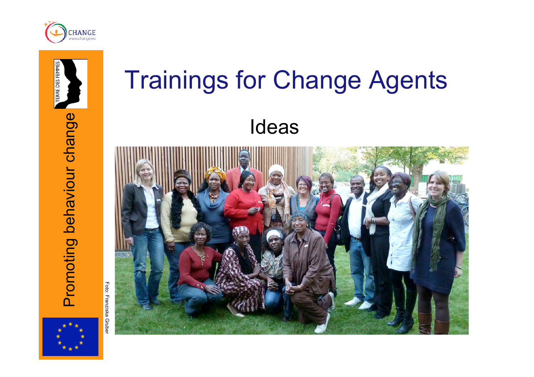



# **ERRE DES FEMMI** Promoting behaviour change Promoting behaviour change

Foto: Franziska Grube Foto: Franziska Gruber

# Trainings for Change Agents Ideas

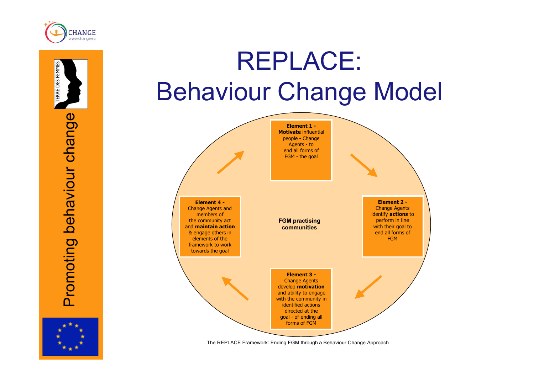

ERRE DES FEMMES

Promoting behaviour change

Promoting behaviour change

#### REPLACE: Behaviour Change Model



The REPLACE Framework: Ending FGM through a Behaviour Change Approach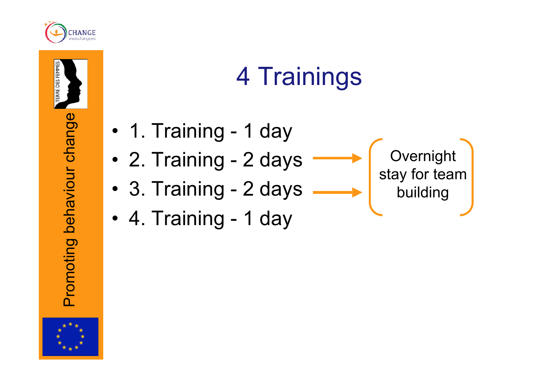

RRE DES FEMMES

#### 4 Trainings

- 1. Training 1 day
- 2. Training 2 days
- 3. Training 2 days

Overnight stay for team building

• 4. Training - 1 day



Promoting behaviour change

Promoting behaviour change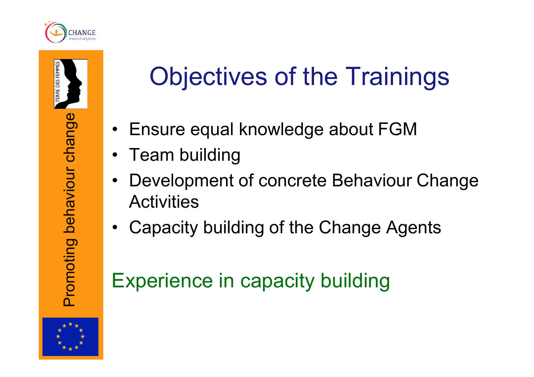

RRE DES FEMMI

#### Objectives of the Trainings

- Ensure equal knowledge about FGM
- Team building
- Development of concrete Behaviour Change **Activities**
- Capacity building of the Change Agents

#### Experience in capacity building

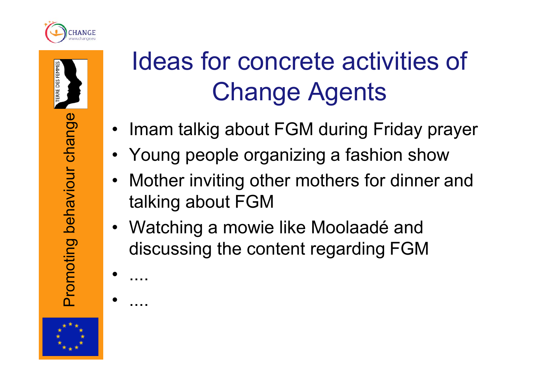



#### Ideas for concrete activities of Change Agents

- Imam talkig about FGM during Friday prayer
- Young people organizing a fashion show
- Mother inviting other mothers for dinner and talking about FGM
- Watching a mowie like Moolaadé and discussing the content regarding FGM



• ....

• ....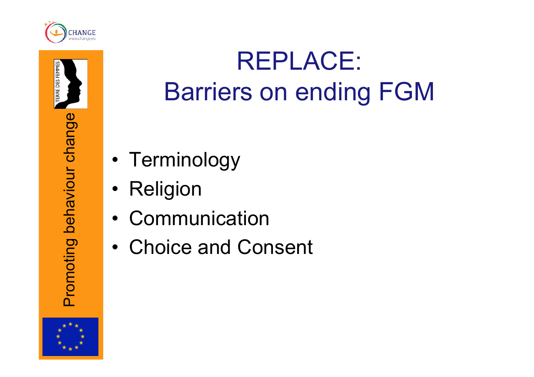



#### REPLACE: Barriers on ending FGM

- Terminology
- Religion
- **Communication**
- Choice and Consent

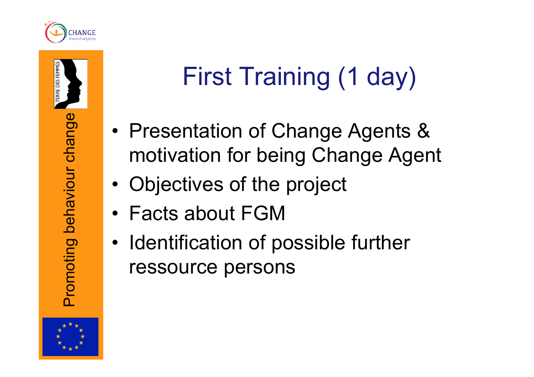

RE DES FEMMI

### First Training (1 day)

- Presentation of Change Agents & motivation for being Change Agent
- Objectives of the project
- Facts about FGM
- Identification of possible further ressource persons

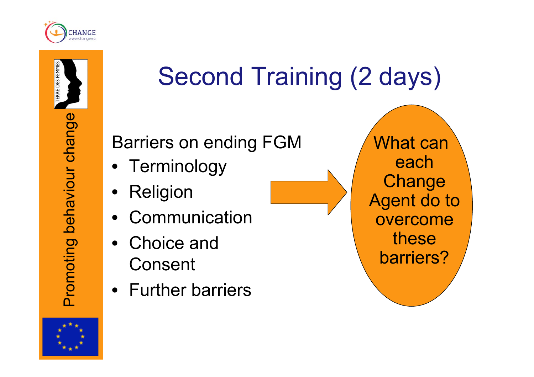

### Second Training (2 days)

Barriers on ending FGM

- Terminology
- **Religion**
- **Communication**
- Choice and Consent
- Further barriers

 What can each **Change** Agent do to overcome these barriers?

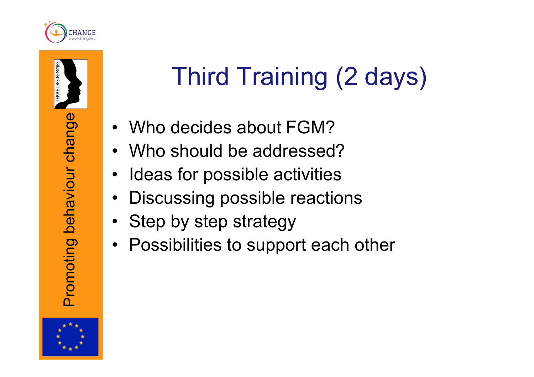

**IRE DES FEMME** 

## Third Training (2 days)

- Who decides about FGM?
- Who should be addressed?
- Ideas for possible activities
- Discussing possible reactions
- Step by step strategy
- Possibilities to support each other

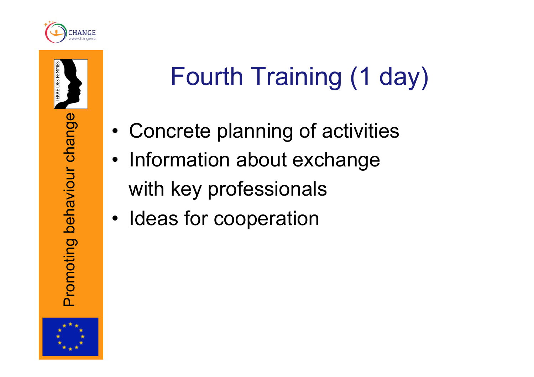

# Fourth Training (1 day)

- Concrete planning of activities
- Information about exchange with key professionals
- Ideas for cooperation